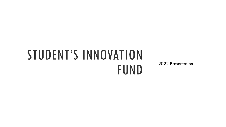## STUDENT'S INNOVATION **FUND**

2022 Presentation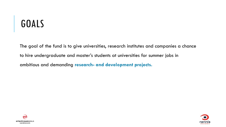### GOALS

The goal of the fund is to give universities, research institutes and companies a chance to hire undergraduate and master's students at universities for summer jobs in ambitious and demanding **research- and development projects.**



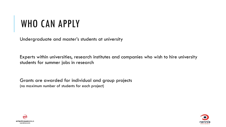#### WHO CAN APPLY

Undergraduate and master's students at university

Experts within universities, research institutes and companies who wish to hire university students for summer jobs in research

Grants are awarded for individual and group projects (no maximum number of students for each project)



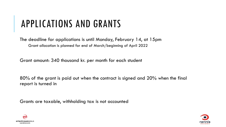#### APPLICATIONS AND GRANTS

The deadline for applications is until Monday, February 14, at 15pm Grant allocation is planned for end of March/beginning of April 2022

Grant amount: 340 thousand kr. per month for each student

80% of the grant is paid out when the contract is signed and 20% when the final report is turned in

Grants are taxable, withholding tax is not accounted



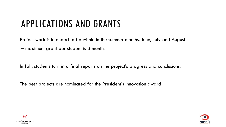#### APPLICATIONS AND GRANTS

Project work is intended to be within in the summer months, June, July and August

– maximum grant per student is 3 months

In fall, students turn in a final reports on the project's progress and conclusions.

The best projects are nominated for the President's innovation award



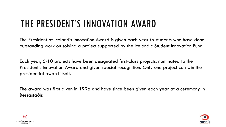#### THE PRESIDENT'S INNOVATION AWARD

The President of Iceland's Innovation Award is given each year to students who have done outstanding work on solving a project supported by the Icelandic Student Innovation Fund.

Each year, 6-10 projects have been designated first-class projects, nominated to the President's Innovation Award and given special recognition. Only one project can win the presidential award itself.

The award was first given in 1996 and have since been given each year at a ceremony in Bessastaðir.



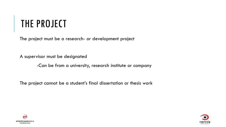#### THE PROJECT

The project must be a research- or development project

A supervisor must be designated

-Can be from a university, research institute or company

The project cannot be a student's final dissertation or thesis work



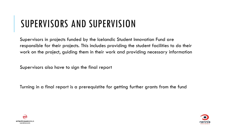#### SUPERVISORS AND SUPERVISION

Supervisors in projects funded by the Icelandic Student Innovation Fund are responsible for their projects. This includes providing the student facilities to do their work on the project, guiding them in their work and providing necessary information

Supervisors also have to sign the final report

Turning in a final report is a prerequistite for getting further grants from the fund



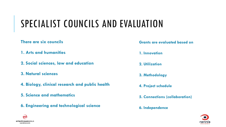#### SPECIALIST COUNCILS AND EVALUATION

#### **There are six councils**

- **1. Arts and humanities**
- **2. Social sciences, law and education**
- **3. Natural sciences**
- **4. Biology, clinical research and public health**
- **5. Science and mathematics**
- **6. Engineering and technological science**

**Grants are evaluated based on**

**1. Innovation**

**2. Utilization**

**3. Methodology**

**4. Project schedule**

- **5. Connections (collaboration)**
- **6. Independence**



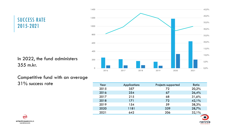SUCCESS RATE 2015-2021

In 2022, the fund administers 355 m.kr.



Competitive fund with an average 31% success rate

| Year | <b>Applications</b> | Projects supported | Ratio |
|------|---------------------|--------------------|-------|
| 2015 | 357                 | 72                 | 20,2% |
| 2016 | 254                 | 67                 | 26,4% |
| 2017 | 215                 | 68                 | 31,6% |
| 2018 | 171                 | 72                 | 42,1% |
| 2019 | 154                 | 59                 | 38,3% |
| 2020 | 1181                | 339                | 28,7% |
| 2021 | 642                 | 206                | 32,1% |



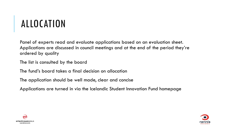#### ALLOCATION

Panel of experts read and evaluate applications based on an evaluation sheet. Applications are discussed in council meetings and at the end of the period they're ordered by quality

The list is consulted by the board

The fund's board takes a final decision on allocation

The application should be well made, clear and concise

Applications are turned in via the Icelandic Student Innovation Fund homepage



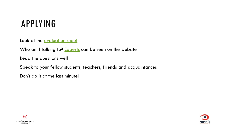#### APPLYING

Look at the [evaluation sheet](https://en.rannis.is/media/nyskopunarsjodur-namsmanna/Evaluation_form.pdf)

Who am I talking to? [Experts](https://en.rannis.is/funding/research/icelandic-student-innovation-fund/expert-panel-and-evaluation/) can be seen on the website

Read the questions well

Speak to your fellow students, teachers, friends and acquaintances

Don't do it at the last minute!



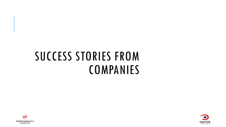## SUCCESS STORIES FROM **COMPANIES**



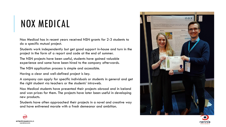#### NOX MEDICAL

Nox Medical has in recent years received NSN grants for 2-3 students to do a specific mutual project.

Students work independently but get good support in-house and turn in the project in the form of a report and code at the end of summer.

The NSN projects have been useful, students have gained valuable experience and some have been hired to the company afterwards.

The NSN application process is simple and accessible.

Having a clear and well-defined project is key.

A company can apply for specific individuals or students in general and get the right student via teachers or the students' intraweb.

Nox Medical students have presented their projects abroad and in Iceland and won prizes for them. The projects have later been useful in developing new products.

Students have often approached their projects in a novel and creative way and have enlivened morale with a fresh demeanor and ambition.





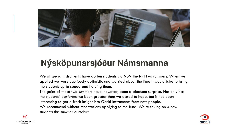

#### Nýsköpunarsjóður Námsmanna

We at Genki Instruments have gotten students via NSN the last two summers. When we applied we were cautiously optimistic and worried about the time it would take to bring the students up to speed and helping them.

The gains of these two summers have, however, been a pleasant surprise. Not only has the students' performance been greater than we dared to hope, but it has been interesting to get a fresh insight into Genki Instruments from new people. We recommend without reservations applying to the fund. We're taking on 4 new students this summer ourselves.